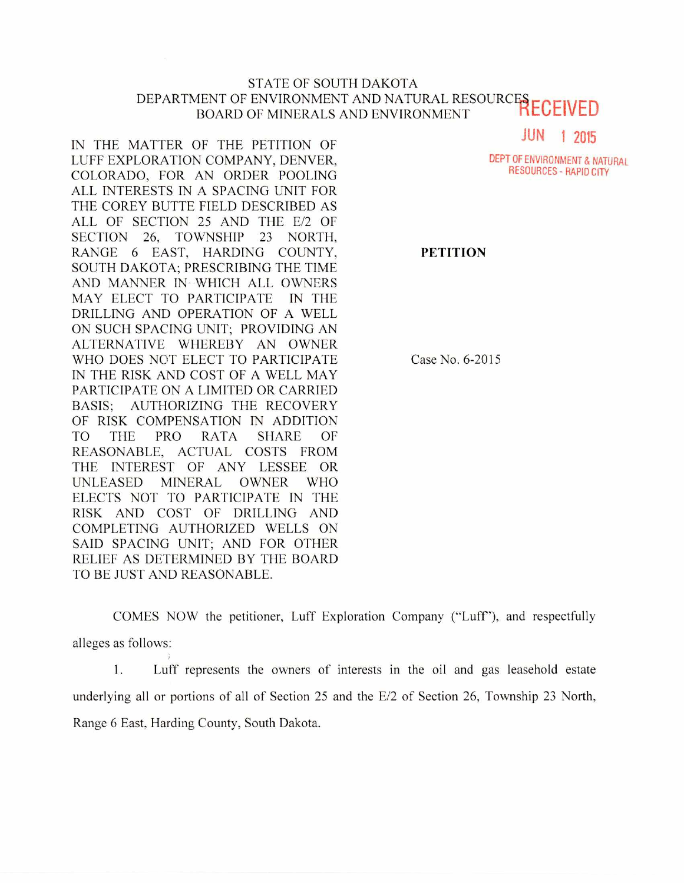## STATE OF SOUTH DAKOTA DEPARTMENT OF ENVIRONMENT AND NATURAL RESOURCES BOARD OF MINERALS AND ENVIRONMENT RECEIVED

IN THE MATTER OF THE PETITION OF LUFF EXPLORATION COMPANY, DENVER, COLORADO, FOR AN ORDER POOLING ALL INTERESTS IN A SPACING UNIT FOR THE COREY BUTTE FIELD DESCRIBED AS ALL OF SECTION 25 AND THE E/2 OF SECTION 26, TOWNSHIP 23 NORTH, RANGE 6 EAST, HARDING COUNTY, SOUTH DAKOTA; PRESCRIBING THE TIME AND MANNER IN WHICH ALL OWNERS MAY ELECT TO PARTICIPATE IN THE DRILLING AND OPERATION OF A WELL ON SUCH SPACING UNIT; PROVIDING AN ALTERNATIVE WHEREBY AN OWNER WHO DOES NOT ELECT TO PARTICIPATE IN THE RISK AND COST OF A WELL MAY PARTICIPATE ON A LIMITED OR CARRIED BASIS; AUTHORIZING THE RECOVERY OF RISK COMPENSATION IN ADDITION TO THE PRO RATA SHARE OF REASONABLE, ACTUAL COSTS FROM THE INTEREST OF ANY LESSEE OR UNLEASED MINERAL OWNER WHO ELECTS NOT TO PARTICIPATE IN THE RISK AND COST OF DRILLING AND COMPLETING AUTHORIZED WELLS ON SAID SPACING UNIT; AND FOR OTHER RELIEF AS DETERMINED BY THE BOARD TO BE JUST AND REASONABLE.

**JUN 1 2015** 

DEPT OF ENVIRONMENT & NATURAL RESOURCES - RAPID CITY

**PETITION** 

Case No. 6-2015

COMES NOW the petitioner, Luff Exploration Company ("Luff"), and respectfully alleges as follows:

1. Luff represents the owners of interests in the oil and gas leasehold estate underlying all or portions of all of Section 25 and the E/2 of Section 26, Township 23 North, Range 6 East, Harding County, South Dakota.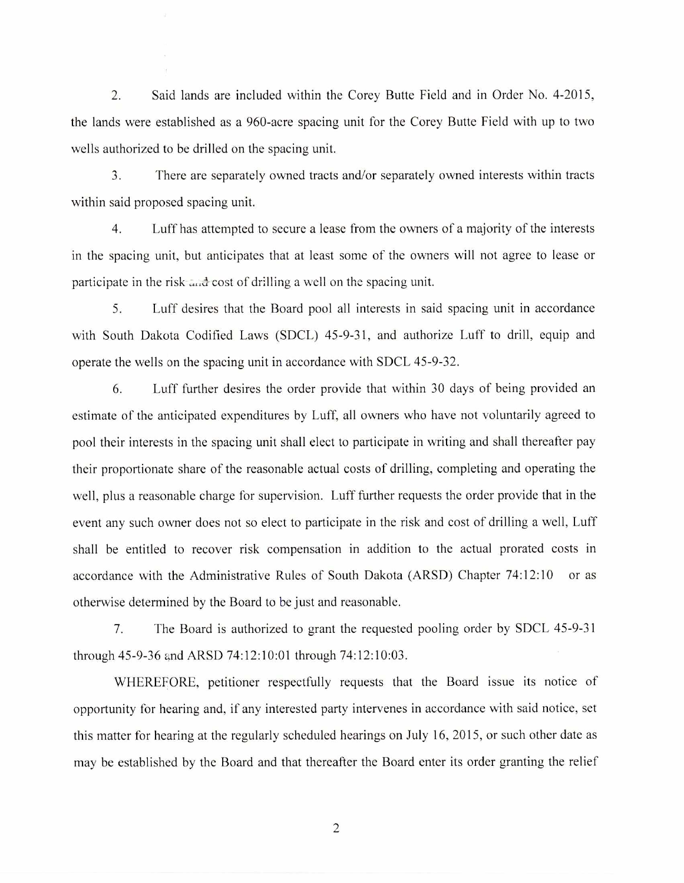2. Said lands are included within the Corey Butte Field and in Order No. 4-2015, the lands were established as a 960-acre spacing unit for the Corey Butte Field with up to two wells authorized to be drilled on the spacing unit.

3. There are separately owned tracts and/or separately owned interests within tracts within said proposed spacing unit.

4. Luff has attempted to secure a lease from the owners of a majority of the interests in the spacing unit, but anticipates that at least some of the owners will not agree to lease or participate in the risk and cost of drilling a well on the spacing unit.

5. Luff desires that the Board pool all interests in said spacing unit in accordance with South Dakota Codified Laws (SDCL) 45-9-31, and authorize Luff to drill, equip and operate the wells on the spacing unit in accordance with SDCL 45-9-32.

6. Luff further desires the order provide that within 30 days of being provided an estimate of the anticipated expenditures by Luff, all owners who have not voluntarily agreed to pool their interests in the spacing unit shall elect to participate in writing and shall thereafter pay their proportionate share of the reasonable actual costs of drilling, completing and operating the well, plus a reasonable charge for supervision. Luff further requests the order provide that in the event any such owner does not so elect to participate in the risk and cost of drilling a well, Luff shall be entitled to recover risk compensation in addition to the actual prorated costs in accordance with the Administrative Rules of South Dakota (ARSD) Chapter 74:12:10 or as otherwise determined by the Board to be just and reasonable.

7. The Board is authorized to grant the requested pooling order by SDCL 45-9-31 through 45-9-36 and ARSD 74:12:10:01 through 74:12:10:03.

WHEREFORE, petitioner respectfully requests that the Board issue its notice of opportunity for hearing and, if any interested party intervenes in accordance with said notice, set this matter for hearing at the regularly scheduled hearings on July 16, 2015, or such other date as may be established by the Board and that thereafter the Board enter its order granting the relief

2